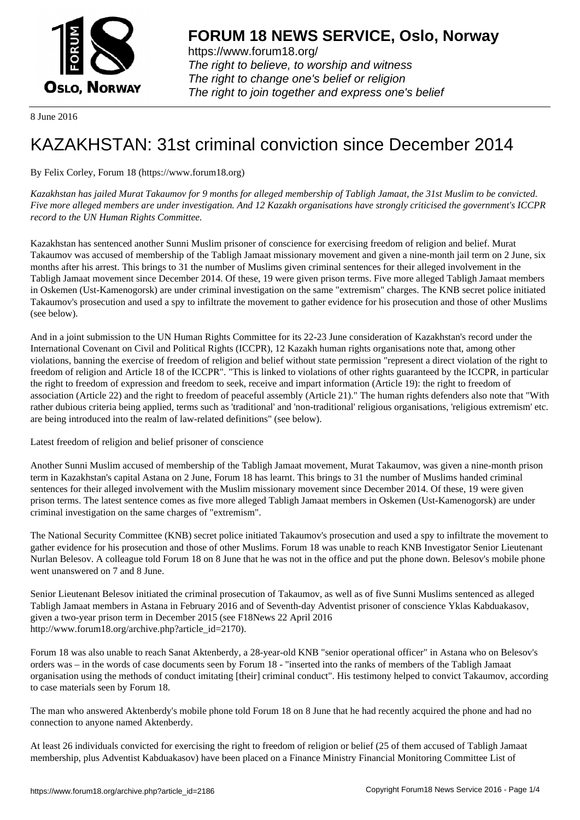

https://www.forum18.org/ The right to believe, to worship and witness The right to change one's belief or religion [The right to join together a](https://www.forum18.org/)nd express one's belief

8 June 2016

## [KAZAKHSTAN:](https://www.forum18.org) 31st criminal conviction since December 2014

By Felix Corley, Forum 18 (https://www.forum18.org)

*Kazakhstan has jailed Murat Takaumov for 9 months for alleged membership of Tabligh Jamaat, the 31st Muslim to be convicted. Five more alleged members are under investigation. And 12 Kazakh organisations have strongly criticised the government's ICCPR record to the UN Human Rights Committee.*

Kazakhstan has sentenced another Sunni Muslim prisoner of conscience for exercising freedom of religion and belief. Murat Takaumov was accused of membership of the Tabligh Jamaat missionary movement and given a nine-month jail term on 2 June, six months after his arrest. This brings to 31 the number of Muslims given criminal sentences for their alleged involvement in the Tabligh Jamaat movement since December 2014. Of these, 19 were given prison terms. Five more alleged Tabligh Jamaat members in Oskemen (Ust-Kamenogorsk) are under criminal investigation on the same "extremism" charges. The KNB secret police initiated Takaumov's prosecution and used a spy to infiltrate the movement to gather evidence for his prosecution and those of other Muslims (see below).

And in a joint submission to the UN Human Rights Committee for its 22-23 June consideration of Kazakhstan's record under the International Covenant on Civil and Political Rights (ICCPR), 12 Kazakh human rights organisations note that, among other violations, banning the exercise of freedom of religion and belief without state permission "represent a direct violation of the right to freedom of religion and Article 18 of the ICCPR". "This is linked to violations of other rights guaranteed by the ICCPR, in particular the right to freedom of expression and freedom to seek, receive and impart information (Article 19): the right to freedom of association (Article 22) and the right to freedom of peaceful assembly (Article 21)." The human rights defenders also note that "With rather dubious criteria being applied, terms such as 'traditional' and 'non-traditional' religious organisations, 'religious extremism' etc. are being introduced into the realm of law-related definitions" (see below).

Latest freedom of religion and belief prisoner of conscience

Another Sunni Muslim accused of membership of the Tabligh Jamaat movement, Murat Takaumov, was given a nine-month prison term in Kazakhstan's capital Astana on 2 June, Forum 18 has learnt. This brings to 31 the number of Muslims handed criminal sentences for their alleged involvement with the Muslim missionary movement since December 2014. Of these, 19 were given prison terms. The latest sentence comes as five more alleged Tabligh Jamaat members in Oskemen (Ust-Kamenogorsk) are under criminal investigation on the same charges of "extremism".

The National Security Committee (KNB) secret police initiated Takaumov's prosecution and used a spy to infiltrate the movement to gather evidence for his prosecution and those of other Muslims. Forum 18 was unable to reach KNB Investigator Senior Lieutenant Nurlan Belesov. A colleague told Forum 18 on 8 June that he was not in the office and put the phone down. Belesov's mobile phone went unanswered on 7 and 8 June.

Senior Lieutenant Belesov initiated the criminal prosecution of Takaumov, as well as of five Sunni Muslims sentenced as alleged Tabligh Jamaat members in Astana in February 2016 and of Seventh-day Adventist prisoner of conscience Yklas Kabduakasov, given a two-year prison term in December 2015 (see F18News 22 April 2016 http://www.forum18.org/archive.php?article\_id=2170).

Forum 18 was also unable to reach Sanat Aktenberdy, a 28-year-old KNB "senior operational officer" in Astana who on Belesov's orders was – in the words of case documents seen by Forum 18 - "inserted into the ranks of members of the Tabligh Jamaat organisation using the methods of conduct imitating [their] criminal conduct". His testimony helped to convict Takaumov, according to case materials seen by Forum 18.

The man who answered Aktenberdy's mobile phone told Forum 18 on 8 June that he had recently acquired the phone and had no connection to anyone named Aktenberdy.

At least 26 individuals convicted for exercising the right to freedom of religion or belief (25 of them accused of Tabligh Jamaat membership, plus Adventist Kabduakasov) have been placed on a Finance Ministry Financial Monitoring Committee List of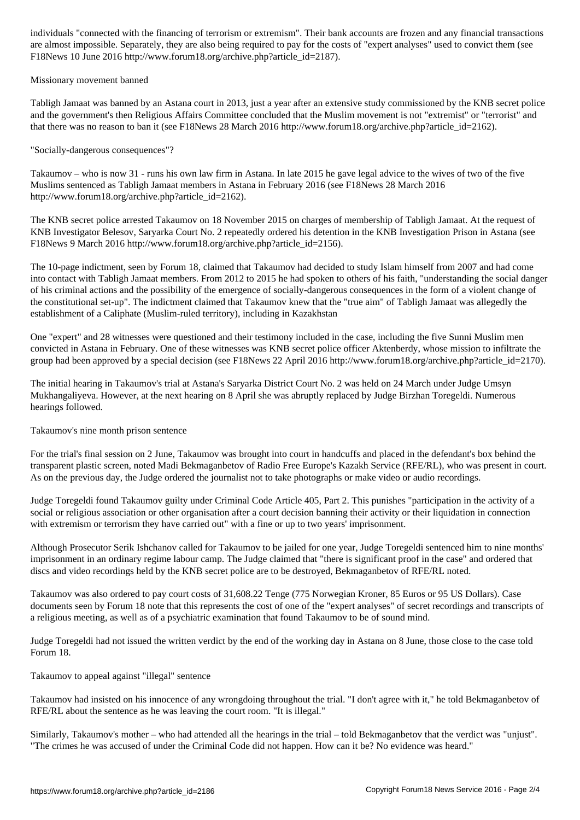are almost impossible. Separately, they are also being required to pay for the costs of "expert analyses" used to convict them (see F18News 10 June 2016 http://www.forum18.org/archive.php?article\_id=2187).

Missionary movement banned

Tabligh Jamaat was banned by an Astana court in 2013, just a year after an extensive study commissioned by the KNB secret police and the government's then Religious Affairs Committee concluded that the Muslim movement is not "extremist" or "terrorist" and that there was no reason to ban it (see F18News 28 March 2016 http://www.forum18.org/archive.php?article\_id=2162).

"Socially-dangerous consequences"?

Takaumov – who is now 31 - runs his own law firm in Astana. In late 2015 he gave legal advice to the wives of two of the five Muslims sentenced as Tabligh Jamaat members in Astana in February 2016 (see F18News 28 March 2016 http://www.forum18.org/archive.php?article\_id=2162).

The KNB secret police arrested Takaumov on 18 November 2015 on charges of membership of Tabligh Jamaat. At the request of KNB Investigator Belesov, Saryarka Court No. 2 repeatedly ordered his detention in the KNB Investigation Prison in Astana (see F18News 9 March 2016 http://www.forum18.org/archive.php?article\_id=2156).

The 10-page indictment, seen by Forum 18, claimed that Takaumov had decided to study Islam himself from 2007 and had come into contact with Tabligh Jamaat members. From 2012 to 2015 he had spoken to others of his faith, "understanding the social danger of his criminal actions and the possibility of the emergence of socially-dangerous consequences in the form of a violent change of the constitutional set-up". The indictment claimed that Takaumov knew that the "true aim" of Tabligh Jamaat was allegedly the establishment of a Caliphate (Muslim-ruled territory), including in Kazakhstan

One "expert" and 28 witnesses were questioned and their testimony included in the case, including the five Sunni Muslim men convicted in Astana in February. One of these witnesses was KNB secret police officer Aktenberdy, whose mission to infiltrate the group had been approved by a special decision (see F18News 22 April 2016 http://www.forum18.org/archive.php?article\_id=2170).

The initial hearing in Takaumov's trial at Astana's Saryarka District Court No. 2 was held on 24 March under Judge Umsyn Mukhangaliyeva. However, at the next hearing on 8 April she was abruptly replaced by Judge Birzhan Toregeldi. Numerous hearings followed.

Takaumov's nine month prison sentence

For the trial's final session on 2 June, Takaumov was brought into court in handcuffs and placed in the defendant's box behind the transparent plastic screen, noted Madi Bekmaganbetov of Radio Free Europe's Kazakh Service (RFE/RL), who was present in court. As on the previous day, the Judge ordered the journalist not to take photographs or make video or audio recordings.

Judge Toregeldi found Takaumov guilty under Criminal Code Article 405, Part 2. This punishes "participation in the activity of a social or religious association or other organisation after a court decision banning their activity or their liquidation in connection with extremism or terrorism they have carried out" with a fine or up to two years' imprisonment.

Although Prosecutor Serik Ishchanov called for Takaumov to be jailed for one year, Judge Toregeldi sentenced him to nine months' imprisonment in an ordinary regime labour camp. The Judge claimed that "there is significant proof in the case" and ordered that discs and video recordings held by the KNB secret police are to be destroyed, Bekmaganbetov of RFE/RL noted.

Takaumov was also ordered to pay court costs of 31,608.22 Tenge (775 Norwegian Kroner, 85 Euros or 95 US Dollars). Case documents seen by Forum 18 note that this represents the cost of one of the "expert analyses" of secret recordings and transcripts of a religious meeting, as well as of a psychiatric examination that found Takaumov to be of sound mind.

Judge Toregeldi had not issued the written verdict by the end of the working day in Astana on 8 June, those close to the case told Forum 18.

Takaumov to appeal against "illegal" sentence

Takaumov had insisted on his innocence of any wrongdoing throughout the trial. "I don't agree with it," he told Bekmaganbetov of RFE/RL about the sentence as he was leaving the court room. "It is illegal."

Similarly, Takaumov's mother – who had attended all the hearings in the trial – told Bekmaganbetov that the verdict was "unjust". "The crimes he was accused of under the Criminal Code did not happen. How can it be? No evidence was heard."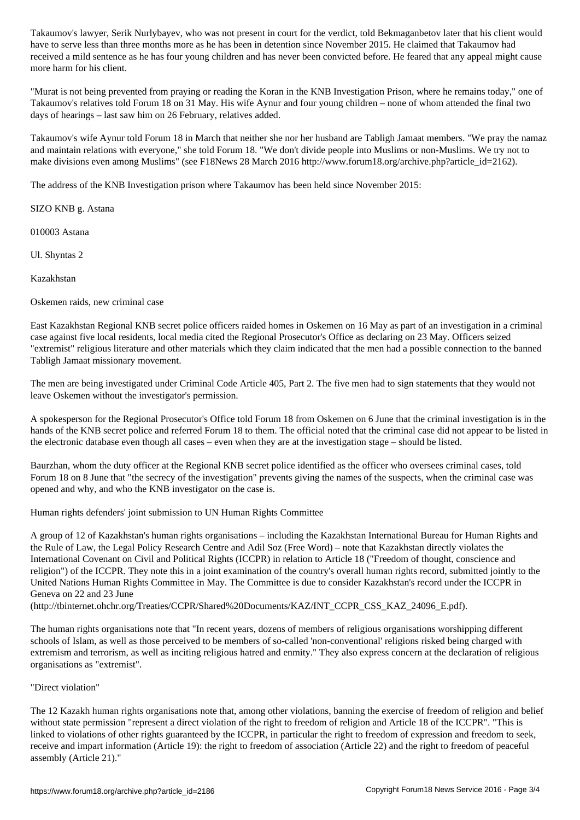received a mild sentence as he has four young children and has never been convicted before. He feared that any appeal might cause more harm for his client.

"Murat is not being prevented from praying or reading the Koran in the KNB Investigation Prison, where he remains today," one of Takaumov's relatives told Forum 18 on 31 May. His wife Aynur and four young children – none of whom attended the final two days of hearings – last saw him on 26 February, relatives added.

Takaumov's wife Aynur told Forum 18 in March that neither she nor her husband are Tabligh Jamaat members. "We pray the namaz and maintain relations with everyone," she told Forum 18. "We don't divide people into Muslims or non-Muslims. We try not to make divisions even among Muslims" (see F18News 28 March 2016 http://www.forum18.org/archive.php?article\_id=2162).

The address of the KNB Investigation prison where Takaumov has been held since November 2015:

SIZO KNB g. Astana

010003 Astana

Ul. Shyntas 2

Kazakhstan

Oskemen raids, new criminal case

East Kazakhstan Regional KNB secret police officers raided homes in Oskemen on 16 May as part of an investigation in a criminal case against five local residents, local media cited the Regional Prosecutor's Office as declaring on 23 May. Officers seized "extremist" religious literature and other materials which they claim indicated that the men had a possible connection to the banned Tabligh Jamaat missionary movement.

The men are being investigated under Criminal Code Article 405, Part 2. The five men had to sign statements that they would not leave Oskemen without the investigator's permission.

A spokesperson for the Regional Prosecutor's Office told Forum 18 from Oskemen on 6 June that the criminal investigation is in the hands of the KNB secret police and referred Forum 18 to them. The official noted that the criminal case did not appear to be listed in the electronic database even though all cases – even when they are at the investigation stage – should be listed.

Baurzhan, whom the duty officer at the Regional KNB secret police identified as the officer who oversees criminal cases, told Forum 18 on 8 June that "the secrecy of the investigation" prevents giving the names of the suspects, when the criminal case was opened and why, and who the KNB investigator on the case is.

Human rights defenders' joint submission to UN Human Rights Committee

A group of 12 of Kazakhstan's human rights organisations – including the Kazakhstan International Bureau for Human Rights and the Rule of Law, the Legal Policy Research Centre and Adil Soz (Free Word) – note that Kazakhstan directly violates the International Covenant on Civil and Political Rights (ICCPR) in relation to Article 18 ("Freedom of thought, conscience and religion") of the ICCPR. They note this in a joint examination of the country's overall human rights record, submitted jointly to the United Nations Human Rights Committee in May. The Committee is due to consider Kazakhstan's record under the ICCPR in Geneva on 22 and 23 June

(http://tbinternet.ohchr.org/Treaties/CCPR/Shared%20Documents/KAZ/INT\_CCPR\_CSS\_KAZ\_24096\_E.pdf).

The human rights organisations note that "In recent years, dozens of members of religious organisations worshipping different schools of Islam, as well as those perceived to be members of so-called 'non-conventional' religions risked being charged with extremism and terrorism, as well as inciting religious hatred and enmity." They also express concern at the declaration of religious organisations as "extremist".

"Direct violation"

The 12 Kazakh human rights organisations note that, among other violations, banning the exercise of freedom of religion and belief without state permission "represent a direct violation of the right to freedom of religion and Article 18 of the ICCPR". "This is linked to violations of other rights guaranteed by the ICCPR, in particular the right to freedom of expression and freedom to seek, receive and impart information (Article 19): the right to freedom of association (Article 22) and the right to freedom of peaceful assembly (Article 21)."